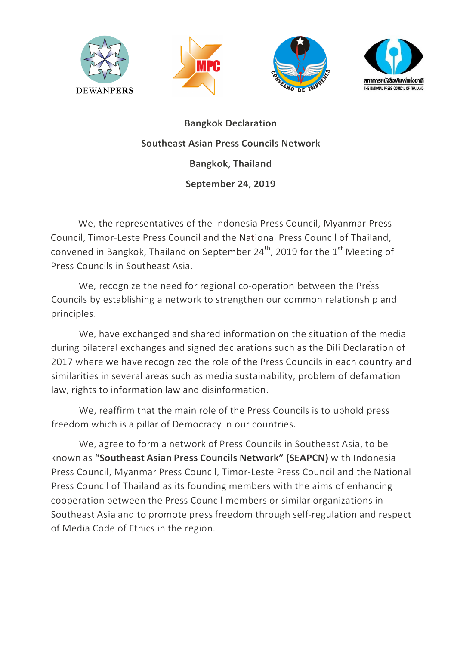



**Bangkok Declaration Southeast Asian Press Councils Network Bangkok, Thailand September 24, 2019** 

We, the representatives of the Indonesia Press Council, Myanmar Press Council, Timor-Leste Press Council and the National Press Council of Thailand, convened in Bangkok, Thailand on September  $24^{th}$ , 2019 for the  $1^{st}$  Meeting of Press Councils in Southeast Asia.

We, recognize the need for regional co-operation between the Press Councils by establishing a network to strengthen our common relationship and principles.

We, have exchanged and shared information on the situation of the media during bilateral exchanges and signed declarations such as the Dili Declaration of 2017 where we have recognized the role of the Press Councils in each country and similarities in several areas such as media sustainability, problem of defamation law, rights to information law and disinformation.

We, reaffirm that the main role of the Press Councils is to uphold press freedom which is a pillar of Democracy in our countries.

We, agree to form a network of Press Councils in Southeast Asia, to be known as **"Southeast Asian Press Councils Network" (SEAPCN)** with Indonesia Press Council, Myanmar Press Council, Timor-Leste Press Council and the National Press Council of Thailand as its founding members with the aims of enhancing cooperation between the Press Council members or similar organizations in Southeast Asia and to promote press freedom through self-regulation and respect of Media Code of Ethics in the region.